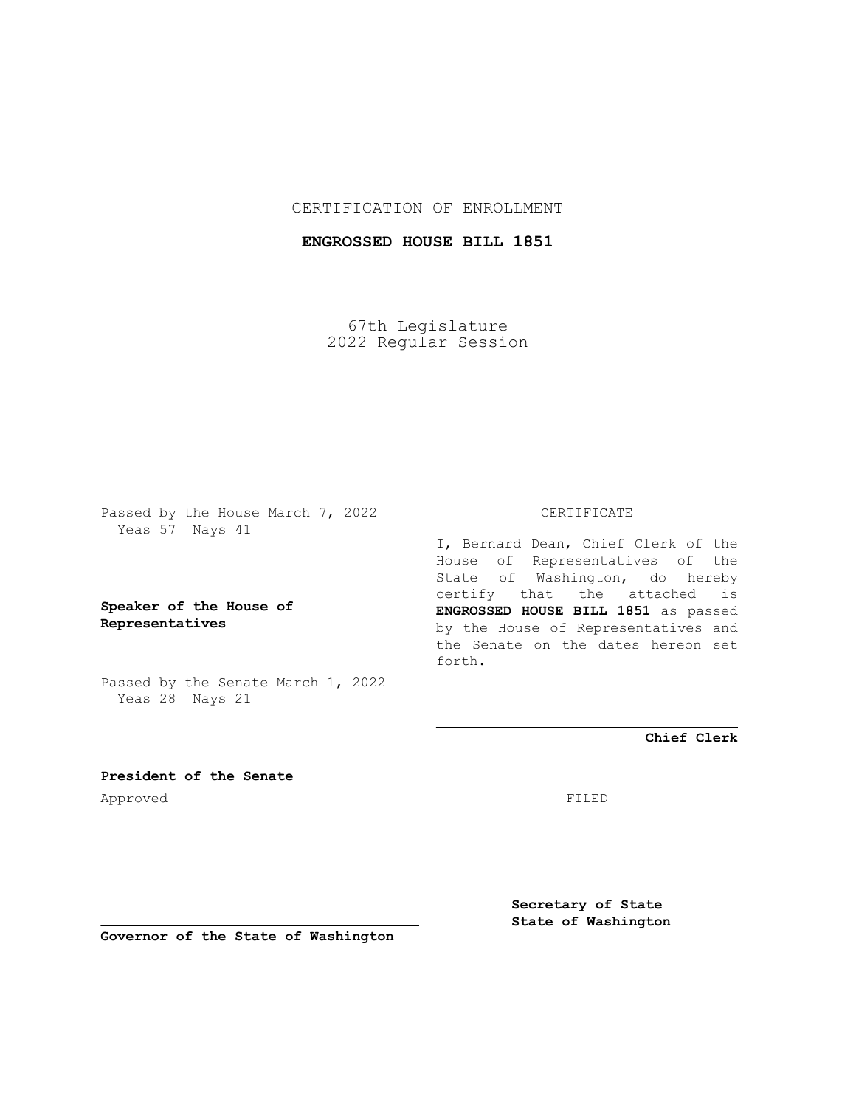### CERTIFICATION OF ENROLLMENT

## **ENGROSSED HOUSE BILL 1851**

67th Legislature 2022 Regular Session

Passed by the House March 7, 2022 Yeas 57 Nays 41

### **Speaker of the House of Representatives**

Passed by the Senate March 1, 2022 Yeas 28 Nays 21

#### CERTIFICATE

I, Bernard Dean, Chief Clerk of the House of Representatives of the State of Washington, do hereby certify that the attached is **ENGROSSED HOUSE BILL 1851** as passed by the House of Representatives and the Senate on the dates hereon set forth.

**Chief Clerk**

**President of the Senate** Approved FILED

**Secretary of State State of Washington**

**Governor of the State of Washington**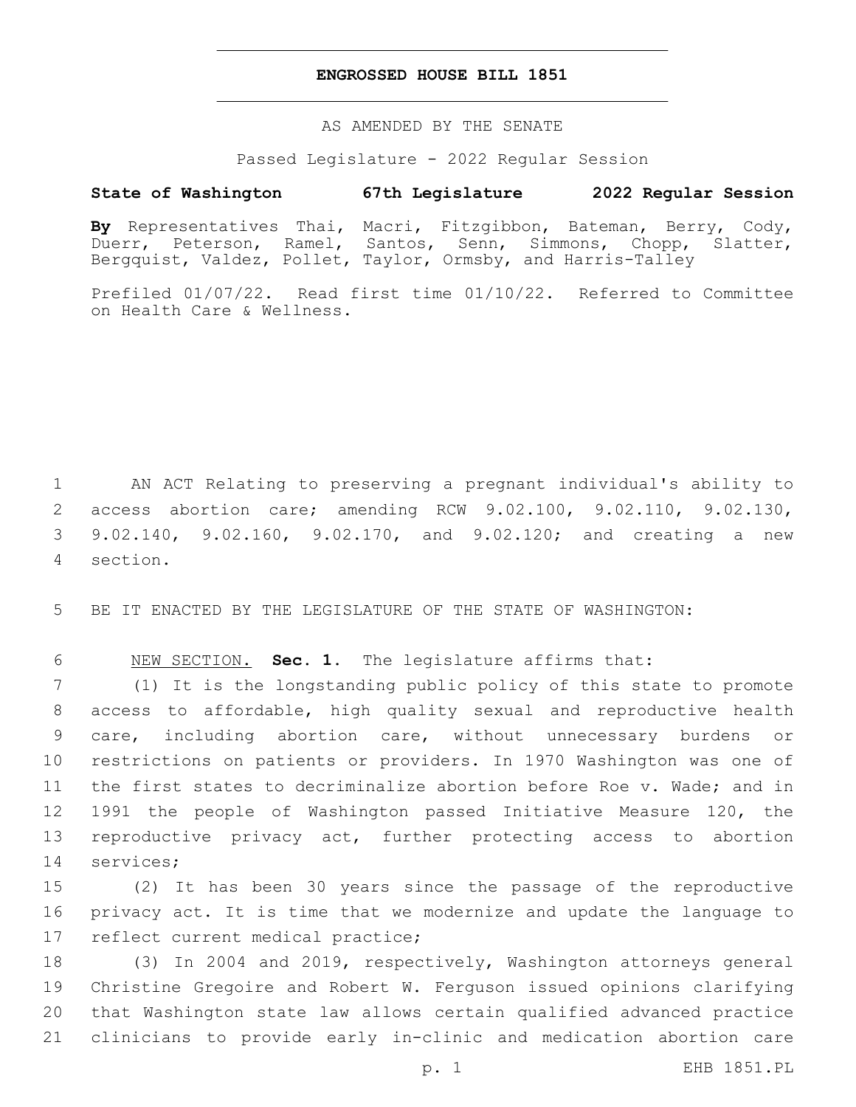### **ENGROSSED HOUSE BILL 1851**

AS AMENDED BY THE SENATE

Passed Legislature - 2022 Regular Session

# **State of Washington 67th Legislature 2022 Regular Session**

**By** Representatives Thai, Macri, Fitzgibbon, Bateman, Berry, Cody, Duerr, Peterson, Ramel, Santos, Senn, Simmons, Chopp, Slatter, Bergquist, Valdez, Pollet, Taylor, Ormsby, and Harris-Talley

Prefiled 01/07/22. Read first time 01/10/22. Referred to Committee on Health Care & Wellness.

 AN ACT Relating to preserving a pregnant individual's ability to access abortion care; amending RCW 9.02.100, 9.02.110, 9.02.130, 9.02.140, 9.02.160, 9.02.170, and 9.02.120; and creating a new section.4

5 BE IT ENACTED BY THE LEGISLATURE OF THE STATE OF WASHINGTON:

6 NEW SECTION. **Sec. 1.** The legislature affirms that:

 (1) It is the longstanding public policy of this state to promote access to affordable, high quality sexual and reproductive health care, including abortion care, without unnecessary burdens or restrictions on patients or providers. In 1970 Washington was one of the first states to decriminalize abortion before Roe v. Wade; and in 1991 the people of Washington passed Initiative Measure 120, the reproductive privacy act, further protecting access to abortion 14 services;

15 (2) It has been 30 years since the passage of the reproductive 16 privacy act. It is time that we modernize and update the language to 17 reflect current medical practice;

 (3) In 2004 and 2019, respectively, Washington attorneys general Christine Gregoire and Robert W. Ferguson issued opinions clarifying that Washington state law allows certain qualified advanced practice clinicians to provide early in-clinic and medication abortion care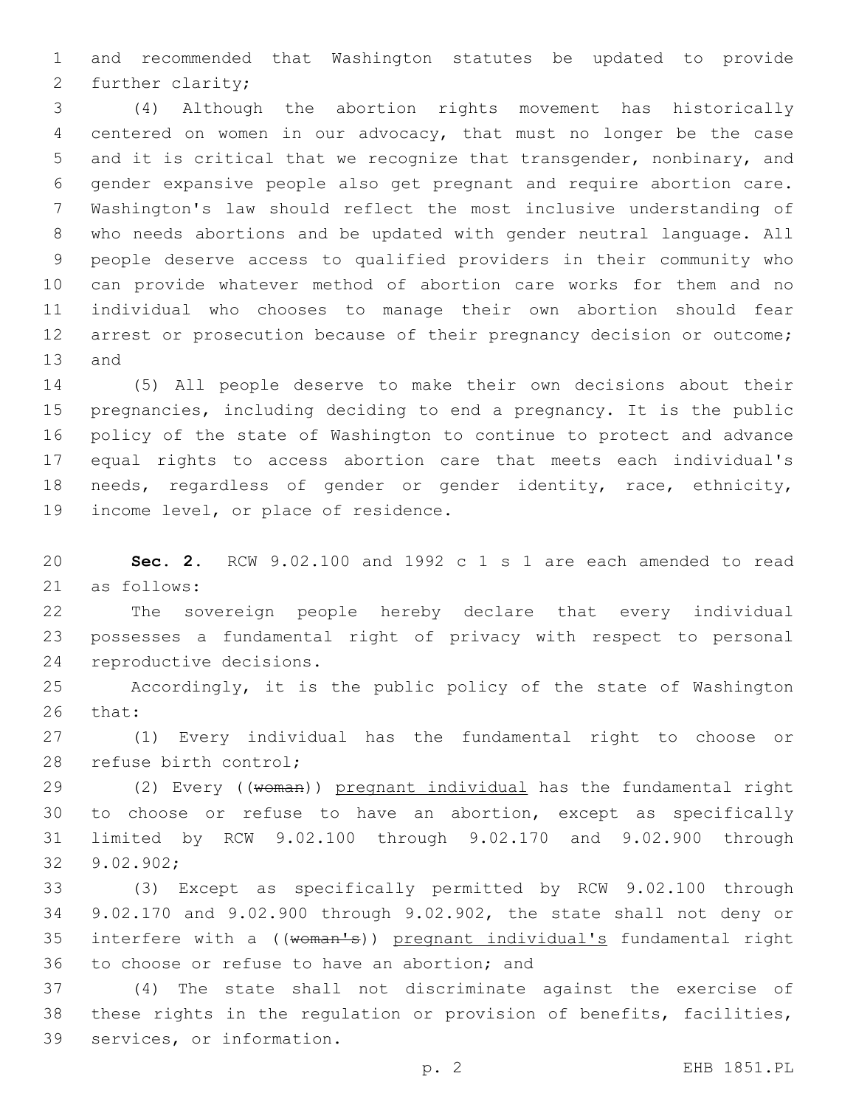and recommended that Washington statutes be updated to provide 2 further clarity;

 (4) Although the abortion rights movement has historically centered on women in our advocacy, that must no longer be the case and it is critical that we recognize that transgender, nonbinary, and gender expansive people also get pregnant and require abortion care. Washington's law should reflect the most inclusive understanding of who needs abortions and be updated with gender neutral language. All people deserve access to qualified providers in their community who can provide whatever method of abortion care works for them and no individual who chooses to manage their own abortion should fear 12 arrest or prosecution because of their pregnancy decision or outcome; 13 and

 (5) All people deserve to make their own decisions about their pregnancies, including deciding to end a pregnancy. It is the public policy of the state of Washington to continue to protect and advance equal rights to access abortion care that meets each individual's needs, regardless of gender or gender identity, race, ethnicity, 19 income level, or place of residence.

 **Sec. 2.** RCW 9.02.100 and 1992 c 1 s 1 are each amended to read as follows:21

 The sovereign people hereby declare that every individual possesses a fundamental right of privacy with respect to personal 24 reproductive decisions.

 Accordingly, it is the public policy of the state of Washington 26 that:

 (1) Every individual has the fundamental right to choose or 28 refuse birth control;

29 (2) Every ((woman)) pregnant individual has the fundamental right to choose or refuse to have an abortion, except as specifically limited by RCW 9.02.100 through 9.02.170 and 9.02.900 through 9.02.902;32

 (3) Except as specifically permitted by RCW 9.02.100 through 9.02.170 and 9.02.900 through 9.02.902, the state shall not deny or 35 interfere with a ((woman's)) pregnant individual's fundamental right 36 to choose or refuse to have an abortion; and

 (4) The state shall not discriminate against the exercise of these rights in the regulation or provision of benefits, facilities, 39 services, or information.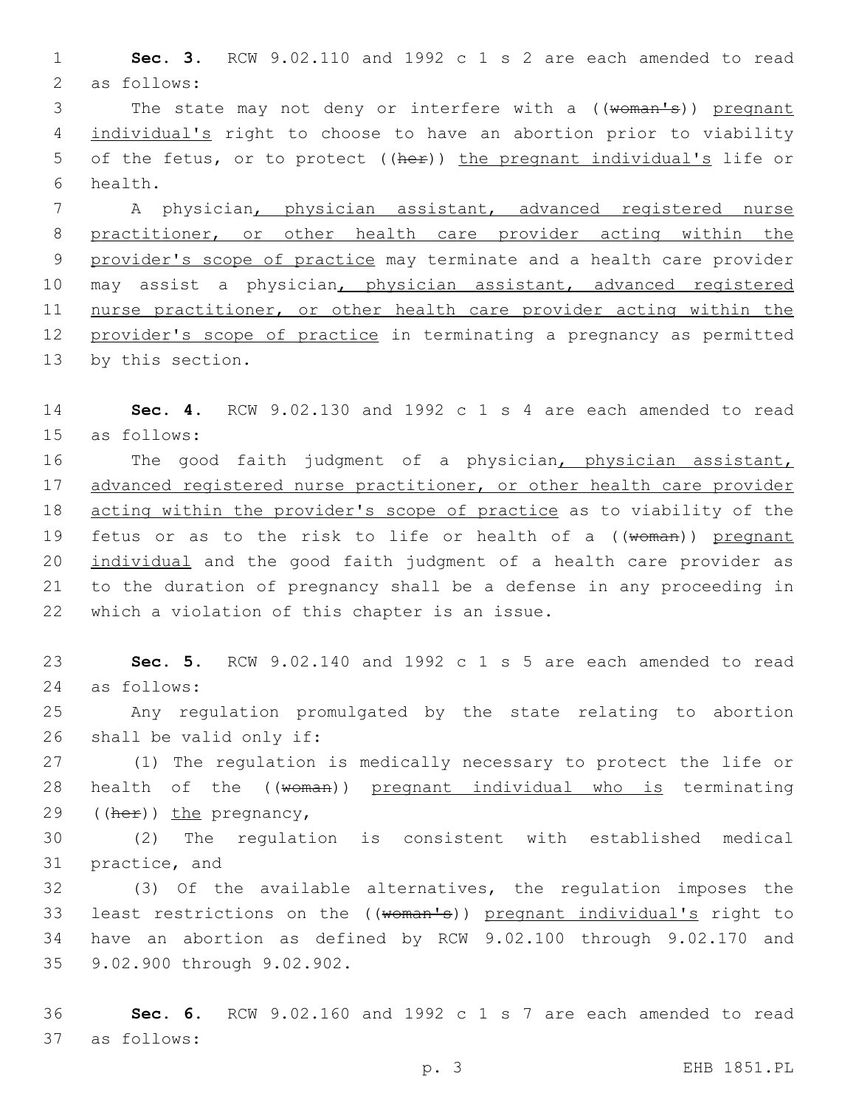1 **Sec. 3.** RCW 9.02.110 and 1992 c 1 s 2 are each amended to read 2 as follows:

3 The state may not deny or interfere with a ((woman's)) pregnant 4 individual's right to choose to have an abortion prior to viability 5 of the fetus, or to protect ((her)) the pregnant individual's life or health.6

 A physician, physician assistant, advanced registered nurse practitioner, or other health care provider acting within the provider's scope of practice may terminate and a health care provider may assist a physician, physician assistant, advanced registered 11 nurse practitioner, or other health care provider acting within the provider's scope of practice in terminating a pregnancy as permitted 13 by this section.

14 **Sec. 4.** RCW 9.02.130 and 1992 c 1 s 4 are each amended to read 15 as follows:

16 The good faith judgment of a physician, physician assistant, 17 advanced registered nurse practitioner, or other health care provider 18 acting within the provider's scope of practice as to viability of the 19 fetus or as to the risk to life or health of a ((woman)) pregnant 20 individual and the good faith judgment of a health care provider as 21 to the duration of pregnancy shall be a defense in any proceeding in 22 which a violation of this chapter is an issue.

23 **Sec. 5.** RCW 9.02.140 and 1992 c 1 s 5 are each amended to read as follows:24

25 Any regulation promulgated by the state relating to abortion  $26$  shall be valid only if:

27 (1) The regulation is medically necessary to protect the life or 28 health of the ((woman)) pregnant individual who is terminating 29  $((\text{her})\,)$  the pregnancy,

30 (2) The regulation is consistent with established medical 31 practice, and

32 (3) Of the available alternatives, the regulation imposes the 33 least restrictions on the ((woman's)) pregnant individual's right to 34 have an abortion as defined by RCW 9.02.100 through 9.02.170 and 35 9.02.900 through 9.02.902.

36 **Sec. 6.** RCW 9.02.160 and 1992 c 1 s 7 are each amended to read as follows:37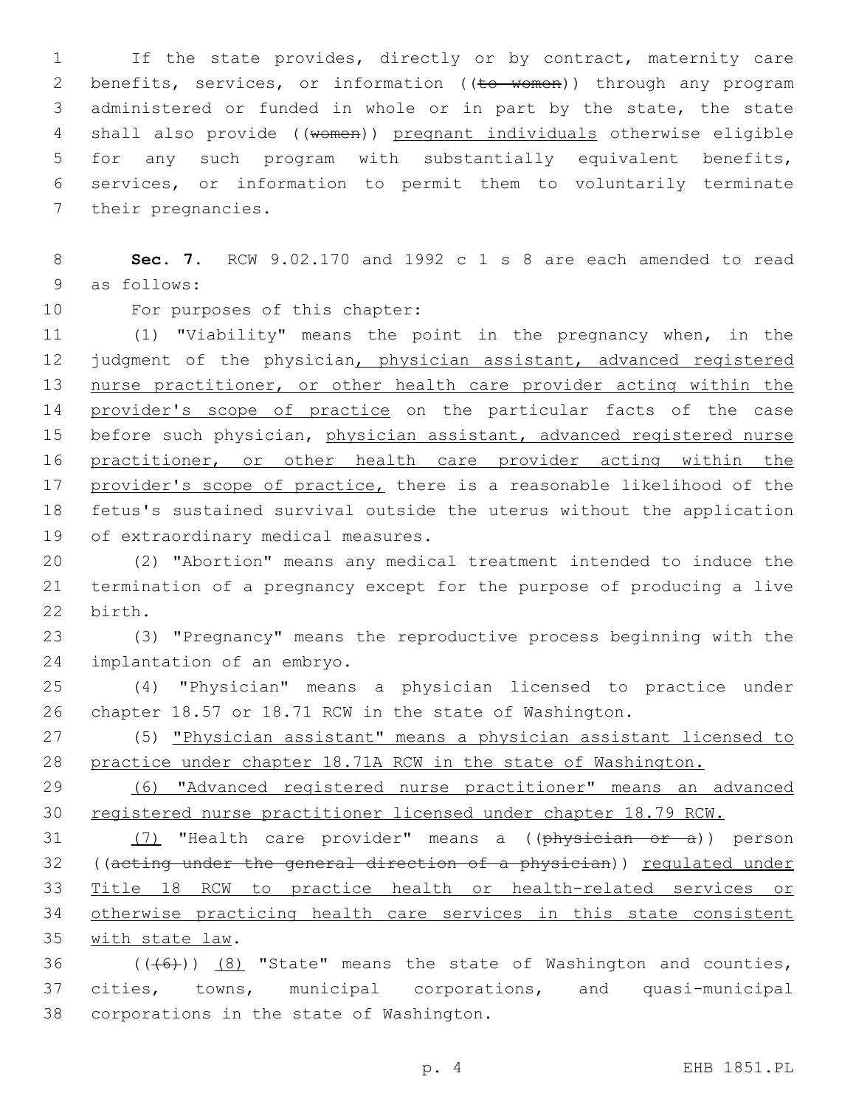1 If the state provides, directly or by contract, maternity care 2 benefits, services, or information ((to women)) through any program 3 administered or funded in whole or in part by the state, the state 4 shall also provide ((women)) pregnant individuals otherwise eligible 5 for any such program with substantially equivalent benefits, 6 services, or information to permit them to voluntarily terminate 7 their pregnancies.

8 **Sec. 7.** RCW 9.02.170 and 1992 c 1 s 8 are each amended to read 9 as follows:

10 For purposes of this chapter:

11 (1) "Viability" means the point in the pregnancy when, in the 12 judgment of the physician, physician assistant, advanced registered 13 nurse practitioner, or other health care provider acting within the 14 provider's scope of practice on the particular facts of the case 15 before such physician, physician assistant, advanced registered nurse 16 practitioner, or other health care provider acting within the 17 provider's scope of practice, there is a reasonable likelihood of the 18 fetus's sustained survival outside the uterus without the application 19 of extraordinary medical measures.

20 (2) "Abortion" means any medical treatment intended to induce the 21 termination of a pregnancy except for the purpose of producing a live 22 birth.

23 (3) "Pregnancy" means the reproductive process beginning with the 24 implantation of an embryo.

25 (4) "Physician" means a physician licensed to practice under 26 chapter 18.57 or 18.71 RCW in the state of Washington.

27 (5) "Physician assistant" means a physician assistant licensed to 28 practice under chapter 18.71A RCW in the state of Washington.

29 (6) "Advanced registered nurse practitioner" means an advanced 30 registered nurse practitioner licensed under chapter 18.79 RCW.

31 (7) "Health care provider" means a ((physician or a)) person 32 ((acting under the general direction of a physician)) regulated under 33 Title 18 RCW to practice health or health-related services or 34 otherwise practicing health care services in this state consistent 35 with state law.

36  $((+6))$   $(8)$  "State" means the state of Washington and counties, 37 cities, towns, municipal corporations, and quasi-municipal 38 corporations in the state of Washington.